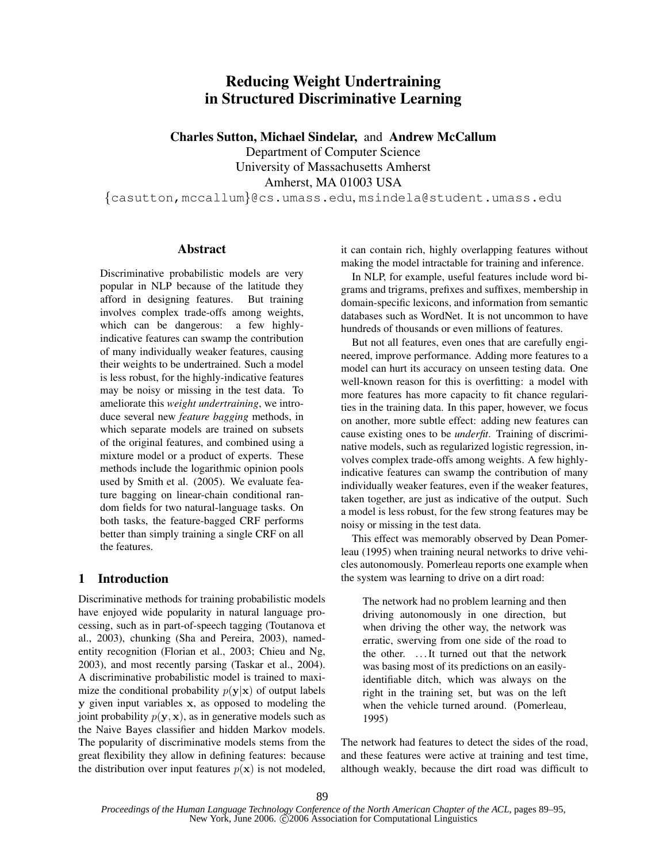# Reducing Weight Undertraining in Structured Discriminative Learning

Charles Sutton, Michael Sindelar, and Andrew McCallum

Department of Computer Science University of Massachusetts Amherst Amherst, MA 01003 USA

{casutton,mccallum}@cs.umass.edu, msindela@student.umass.edu

### Abstract

Discriminative probabilistic models are very popular in NLP because of the latitude they afford in designing features. But training involves complex trade-offs among weights, which can be dangerous: a few highlyindicative features can swamp the contribution of many individually weaker features, causing their weights to be undertrained. Such a model is less robust, for the highly-indicative features may be noisy or missing in the test data. To ameliorate this *weight undertraining*, we introduce several new *feature bagging* methods, in which separate models are trained on subsets of the original features, and combined using a mixture model or a product of experts. These methods include the logarithmic opinion pools used by Smith et al. (2005). We evaluate feature bagging on linear-chain conditional random fields for two natural-language tasks. On both tasks, the feature-bagged CRF performs better than simply training a single CRF on all the features.

## 1 Introduction

Discriminative methods for training probabilistic models have enjoyed wide popularity in natural language processing, such as in part-of-speech tagging (Toutanova et al., 2003), chunking (Sha and Pereira, 2003), namedentity recognition (Florian et al., 2003; Chieu and Ng, 2003), and most recently parsing (Taskar et al., 2004). A discriminative probabilistic model is trained to maximize the conditional probability  $p(\mathbf{y}|\mathbf{x})$  of output labels y given input variables x, as opposed to modeling the joint probability  $p(\mathbf{y}, \mathbf{x})$ , as in generative models such as the Naive Bayes classifier and hidden Markov models. The popularity of discriminative models stems from the great flexibility they allow in defining features: because the distribution over input features  $p(x)$  is not modeled, it can contain rich, highly overlapping features without making the model intractable for training and inference.

In NLP, for example, useful features include word bigrams and trigrams, prefixes and suffixes, membership in domain-specific lexicons, and information from semantic databases such as WordNet. It is not uncommon to have hundreds of thousands or even millions of features.

But not all features, even ones that are carefully engineered, improve performance. Adding more features to a model can hurt its accuracy on unseen testing data. One well-known reason for this is overfitting: a model with more features has more capacity to fit chance regularities in the training data. In this paper, however, we focus on another, more subtle effect: adding new features can cause existing ones to be *underfit*. Training of discriminative models, such as regularized logistic regression, involves complex trade-offs among weights. A few highlyindicative features can swamp the contribution of many individually weaker features, even if the weaker features, taken together, are just as indicative of the output. Such a model is less robust, for the few strong features may be noisy or missing in the test data.

This effect was memorably observed by Dean Pomerleau (1995) when training neural networks to drive vehicles autonomously. Pomerleau reports one example when the system was learning to drive on a dirt road:

The network had no problem learning and then driving autonomously in one direction, but when driving the other way, the network was erratic, swerving from one side of the road to the other. . . .It turned out that the network was basing most of its predictions on an easilyidentifiable ditch, which was always on the right in the training set, but was on the left when the vehicle turned around. (Pomerleau, 1995)

The network had features to detect the sides of the road, and these features were active at training and test time, although weakly, because the dirt road was difficult to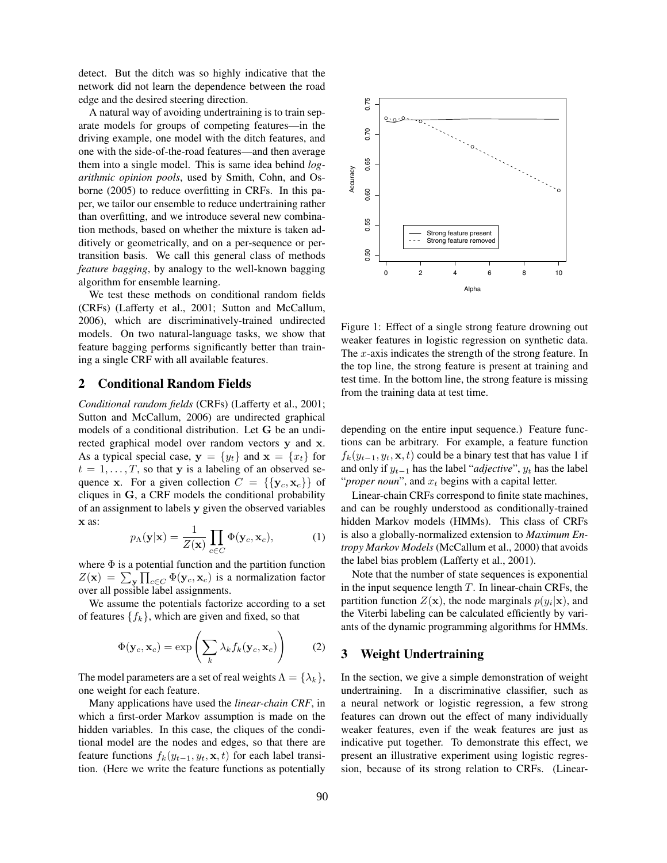detect. But the ditch was so highly indicative that the network did not learn the dependence between the road edge and the desired steering direction.

A natural way of avoiding undertraining is to train separate models for groups of competing features—in the driving example, one model with the ditch features, and one with the side-of-the-road features—and then average them into a single model. This is same idea behind *logarithmic opinion pools*, used by Smith, Cohn, and Osborne (2005) to reduce overfitting in CRFs. In this paper, we tailor our ensemble to reduce undertraining rather than overfitting, and we introduce several new combination methods, based on whether the mixture is taken additively or geometrically, and on a per-sequence or pertransition basis. We call this general class of methods *feature bagging*, by analogy to the well-known bagging algorithm for ensemble learning.

We test these methods on conditional random fields (CRFs) (Lafferty et al., 2001; Sutton and McCallum, 2006), which are discriminatively-trained undirected models. On two natural-language tasks, we show that feature bagging performs significantly better than training a single CRF with all available features.

#### 2 Conditional Random Fields

*Conditional random fields* (CRFs) (Lafferty et al., 2001; Sutton and McCallum, 2006) are undirected graphical models of a conditional distribution. Let G be an undirected graphical model over random vectors y and x. As a typical special case,  $y = \{y_t\}$  and  $x = \{x_t\}$  for  $t = 1, \ldots, T$ , so that y is a labeling of an observed sequence x. For a given collection  $C = \{ \{y_c, x_c\} \}$  of cliques in G, a CRF models the conditional probability of an assignment to labels y given the observed variables x as:

$$
p_{\Lambda}(\mathbf{y}|\mathbf{x}) = \frac{1}{Z(\mathbf{x})} \prod_{c \in C} \Phi(\mathbf{y}_c, \mathbf{x}_c),
$$
 (1)

where  $\Phi$  is a potential function and the partition function  $Z(\mathbf{x}) = \sum_{\mathbf{y}} \prod_{c \in C} \Phi(\mathbf{y}_c, \mathbf{x}_c)$  is a normalization factor over all possible label assignments.

We assume the potentials factorize according to a set of features  $\{f_k\}$ , which are given and fixed, so that

$$
\Phi(\mathbf{y}_c, \mathbf{x}_c) = \exp\left(\sum_k \lambda_k f_k(\mathbf{y}_c, \mathbf{x}_c)\right) \tag{2}
$$

The model parameters are a set of real weights  $\Lambda = {\lambda_k}$ , one weight for each feature.

Many applications have used the *linear-chain CRF*, in which a first-order Markov assumption is made on the hidden variables. In this case, the cliques of the conditional model are the nodes and edges, so that there are feature functions  $f_k(y_{t-1}, y_t, \mathbf{x}, t)$  for each label transition. (Here we write the feature functions as potentially



Figure 1: Effect of a single strong feature drowning out weaker features in logistic regression on synthetic data. The  $x$ -axis indicates the strength of the strong feature. In the top line, the strong feature is present at training and test time. In the bottom line, the strong feature is missing from the training data at test time.

depending on the entire input sequence.) Feature functions can be arbitrary. For example, a feature function  $f_k(y_{t-1}, y_t, \mathbf{x}, t)$  could be a binary test that has value 1 if and only if y<sup>t</sup>−<sup>1</sup> has the label "*adjective*", y<sup>t</sup> has the label "*proper noun*", and  $x_t$  begins with a capital letter.

Linear-chain CRFs correspond to finite state machines, and can be roughly understood as conditionally-trained hidden Markov models (HMMs). This class of CRFs is also a globally-normalized extension to *Maximum Entropy Markov Models* (McCallum et al., 2000) that avoids the label bias problem (Lafferty et al., 2001).

Note that the number of state sequences is exponential in the input sequence length  $T$ . In linear-chain CRFs, the partition function  $Z(\mathbf{x})$ , the node marginals  $p(y_i|\mathbf{x})$ , and the Viterbi labeling can be calculated efficiently by variants of the dynamic programming algorithms for HMMs.

## 3 Weight Undertraining

In the section, we give a simple demonstration of weight undertraining. In a discriminative classifier, such as a neural network or logistic regression, a few strong features can drown out the effect of many individually weaker features, even if the weak features are just as indicative put together. To demonstrate this effect, we present an illustrative experiment using logistic regression, because of its strong relation to CRFs. (Linear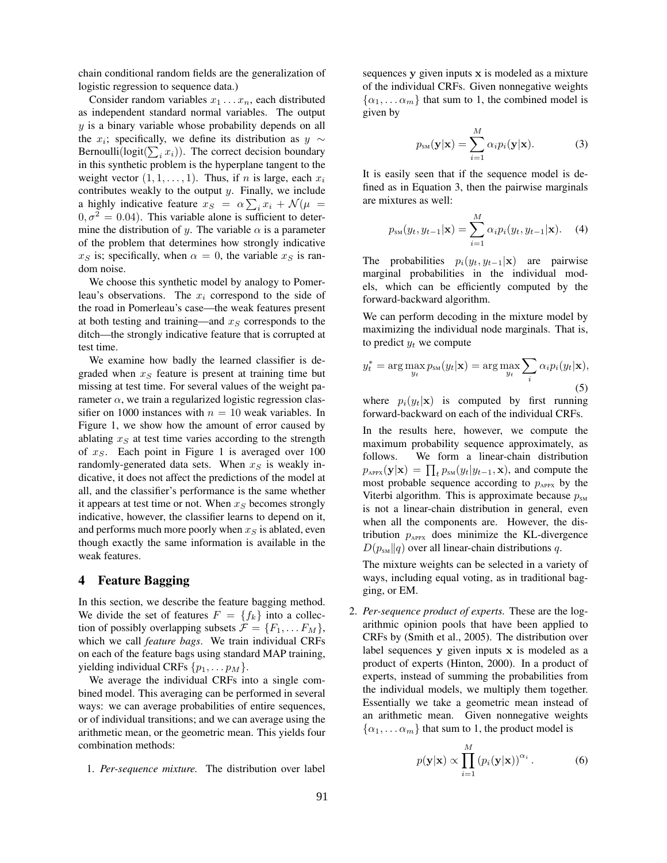chain conditional random fields are the generalization of logistic regression to sequence data.)

Consider random variables  $x_1 \ldots x_n$ , each distributed as independent standard normal variables. The output y is a binary variable whose probability depends on all the  $x_i$ ; specifically, we define its distribution as  $y \sim$ Bernoulli( $logit(\sum_i x_i)$ ). The correct decision boundary in this synthetic problem is the hyperplane tangent to the weight vector  $(1, 1, \ldots, 1)$ . Thus, if *n* is large, each  $x_i$ contributes weakly to the output  $y$ . Finally, we include a highly indicative feature  $x_S = \alpha \sum_i x_i + \mathcal{N}(\mu)$  $0, \sigma^2 = 0.04$ . This variable alone is sufficient to determine the distribution of y. The variable  $\alpha$  is a parameter of the problem that determines how strongly indicative  $x<sub>S</sub>$  is; specifically, when  $\alpha = 0$ , the variable  $x<sub>S</sub>$  is random noise.

We choose this synthetic model by analogy to Pomerleau's observations. The  $x_i$  correspond to the side of the road in Pomerleau's case—the weak features present at both testing and training—and  $x<sub>S</sub>$  corresponds to the ditch—the strongly indicative feature that is corrupted at test time.

We examine how badly the learned classifier is degraded when  $x<sub>S</sub>$  feature is present at training time but missing at test time. For several values of the weight parameter  $\alpha$ , we train a regularized logistic regression classifier on 1000 instances with  $n = 10$  weak variables. In Figure 1, we show how the amount of error caused by ablating  $x<sub>S</sub>$  at test time varies according to the strength of  $x<sub>S</sub>$ . Each point in Figure 1 is averaged over 100 randomly-generated data sets. When  $x<sub>S</sub>$  is weakly indicative, it does not affect the predictions of the model at all, and the classifier's performance is the same whether it appears at test time or not. When  $x<sub>S</sub>$  becomes strongly indicative, however, the classifier learns to depend on it, and performs much more poorly when  $x_S$  is ablated, even though exactly the same information is available in the weak features.

## 4 Feature Bagging

In this section, we describe the feature bagging method. We divide the set of features  $F = \{f_k\}$  into a collection of possibly overlapping subsets  $\mathcal{F} = \{F_1, \dots F_M\},\$ which we call *feature bags*. We train individual CRFs on each of the feature bags using standard MAP training, yielding individual CRFs  $\{p_1, \ldots, p_M\}$ .

We average the individual CRFs into a single combined model. This averaging can be performed in several ways: we can average probabilities of entire sequences, or of individual transitions; and we can average using the arithmetic mean, or the geometric mean. This yields four combination methods:

1. *Per-sequence mixture.* The distribution over label

sequences y given inputs x is modeled as a mixture of the individual CRFs. Given nonnegative weights  $\{\alpha_1, \dots \alpha_m\}$  that sum to 1, the combined model is given by

$$
p_{\rm SM}(\mathbf{y}|\mathbf{x}) = \sum_{i=1}^{M} \alpha_i p_i(\mathbf{y}|\mathbf{x}).
$$
 (3)

It is easily seen that if the sequence model is defined as in Equation 3, then the pairwise marginals are mixtures as well:

$$
p_{\rm SM}(y_t, y_{t-1}|\mathbf{x}) = \sum_{i=1}^{M} \alpha_i p_i(y_t, y_{t-1}|\mathbf{x}). \quad (4)
$$

The probabilities  $p_i(y_t, y_{t-1}|\mathbf{x})$  are pairwise marginal probabilities in the individual models, which can be efficiently computed by the forward-backward algorithm.

We can perform decoding in the mixture model by maximizing the individual node marginals. That is, to predict  $y_t$  we compute

$$
y_t^* = \arg\max_{y_t} p_{\text{SM}}(y_t|\mathbf{x}) = \arg\max_{y_t} \sum_i \alpha_i p_i(y_t|\mathbf{x}),
$$
\n(5)

where  $p_i(y_t|\mathbf{x})$  is computed by first running forward-backward on each of the individual CRFs.

In the results here, however, we compute the maximum probability sequence approximately, as follows. We form a linear-chain distribution  $p_{APPX}(\mathbf{y}|\mathbf{x}) = \prod_t p_{SM}(y_t|y_{t-1}, \mathbf{x})$ , and compute the most probable sequence according to  $p_{APPX}$  by the Viterbi algorithm. This is approximate because  $p_{\text{SM}}$ is not a linear-chain distribution in general, even when all the components are. However, the distribution  $p_{APPX}$  does minimize the KL-divergence  $D(p_{\text{SM}}||q)$  over all linear-chain distributions q.

The mixture weights can be selected in a variety of ways, including equal voting, as in traditional bagging, or EM.

2. *Per-sequence product of experts.* These are the logarithmic opinion pools that have been applied to CRFs by (Smith et al., 2005). The distribution over label sequences  $y$  given inputs  $x$  is modeled as a product of experts (Hinton, 2000). In a product of experts, instead of summing the probabilities from the individual models, we multiply them together. Essentially we take a geometric mean instead of an arithmetic mean. Given nonnegative weights  $\{\alpha_1, \dots \alpha_m\}$  that sum to 1, the product model is

$$
p(\mathbf{y}|\mathbf{x}) \propto \prod_{i=1}^{M} (p_i(\mathbf{y}|\mathbf{x}))^{\alpha_i} . \tag{6}
$$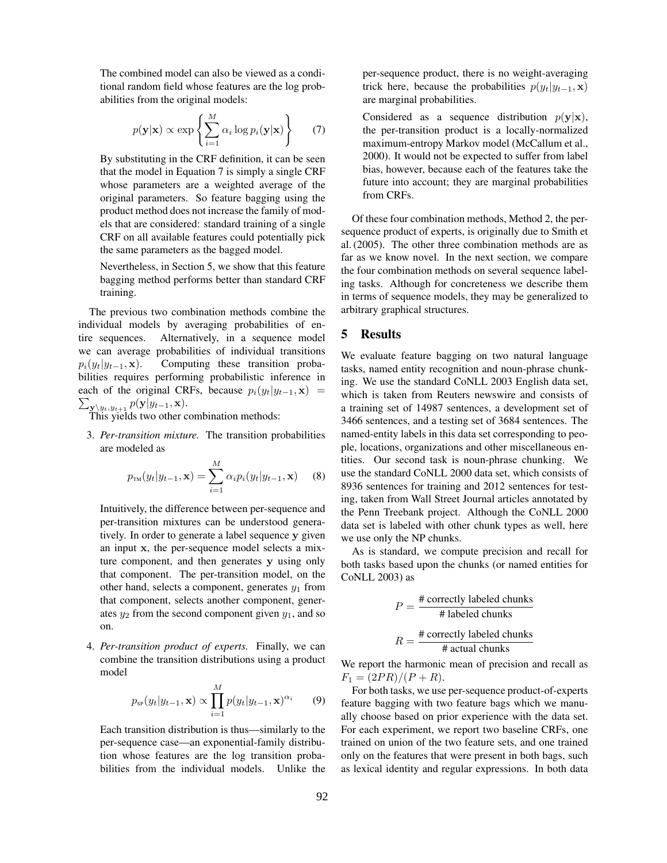The combined model can also be viewed as a conditional random field whose features are the log probabilities from the original models:

$$
p(\mathbf{y}|\mathbf{x}) \propto \exp\left\{\sum_{i=1}^{M} \alpha_i \log p_i(\mathbf{y}|\mathbf{x})\right\} \qquad (7)
$$

By substituting in the CRF definition, it can be seen that the model in Equation 7 is simply a single CRF whose parameters are a weighted average of the original parameters. So feature bagging using the product method does not increase the family of models that are considered: standard training of a single CRF on all available features could potentially pick the same parameters as the bagged model.

Nevertheless, in Section 5, we show that this feature bagging method performs better than standard CRF training.

The previous two combination methods combine the individual models by averaging probabilities of entire sequences. Alternatively, in a sequence model we can average probabilities of individual transitions  $p_i(y_t|y_{t-1}, \mathbf{x})$ . Computing these transition probabilities requires performing probabilistic inference in  $\sum_{\mathbf{y} \setminus y_t, y_{t+1}} p(\mathbf{y} | y_{t-1}, \mathbf{x}).$  This yields two other combination methods: each of the original CRFs, because  $p_i(y_t|y_{t-1}, \mathbf{x})$  =

3. *Per-transition mixture.* The transition probabilities are modeled as

$$
p_{\text{TM}}(y_t|y_{t-1}, \mathbf{x}) = \sum_{i=1}^{M} \alpha_i p_i(y_t|y_{t-1}, \mathbf{x}) \quad (8)
$$

Intuitively, the difference between per-sequence and per-transition mixtures can be understood generatively. In order to generate a label sequence y given an input x, the per-sequence model selects a mixture component, and then generates y using only that component. The per-transition model, on the other hand, selects a component, generates  $y_1$  from that component, selects another component, generates  $y_2$  from the second component given  $y_1$ , and so on.

4. *Per-transition product of experts.* Finally, we can combine the transition distributions using a product model

$$
p_{\rm sr}(y_t|y_{t-1}, \mathbf{x}) \propto \prod_{i=1}^{M} p(y_t|y_{t-1}, \mathbf{x})^{\alpha_i} \qquad (9)
$$

Each transition distribution is thus—similarly to the per-sequence case—an exponential-family distribution whose features are the log transition probabilities from the individual models. Unlike the per-sequence product, there is no weight-averaging trick here, because the probabilities  $p(y_t|y_{t-1}, \mathbf{x})$ are marginal probabilities.

Considered as a sequence distribution  $p(\mathbf{y}|\mathbf{x})$ , the per-transition product is a locally-normalized maximum-entropy Markov model (McCallum et al., 2000). It would not be expected to suffer from label bias, however, because each of the features take the future into account; they are marginal probabilities from CRFs.

Of these four combination methods, Method 2, the persequence product of experts, is originally due to Smith et al. (2005). The other three combination methods are as far as we know novel. In the next section, we compare the four combination methods on several sequence labeling tasks. Although for concreteness we describe them in terms of sequence models, they may be generalized to arbitrary graphical structures.

## 5 Results

We evaluate feature bagging on two natural language tasks, named entity recognition and noun-phrase chunking. We use the standard CoNLL 2003 English data set, which is taken from Reuters newswire and consists of a training set of 14987 sentences, a development set of 3466 sentences, and a testing set of 3684 sentences. The named-entity labels in this data set corresponding to people, locations, organizations and other miscellaneous entities. Our second task is noun-phrase chunking. We use the standard CoNLL 2000 data set, which consists of 8936 sentences for training and 2012 sentences for testing, taken from Wall Street Journal articles annotated by the Penn Treebank project. Although the CoNLL 2000 data set is labeled with other chunk types as well, here we use only the NP chunks.

As is standard, we compute precision and recall for both tasks based upon the chunks (or named entities for CoNLL 2003) as

$$
P = \frac{\text{\# correctly labeled chunks}}{\text{\# labeled chunks}}
$$
\n
$$
R = \frac{\text{\# correctly labeled chunks}}{\text{\# actual chunks}}
$$

We report the harmonic mean of precision and recall as  $F_1 = (2PR)/(P + R).$ 

For both tasks, we use per-sequence product-of-experts feature bagging with two feature bags which we manually choose based on prior experience with the data set. For each experiment, we report two baseline CRFs, one trained on union of the two feature sets, and one trained only on the features that were present in both bags, such as lexical identity and regular expressions. In both data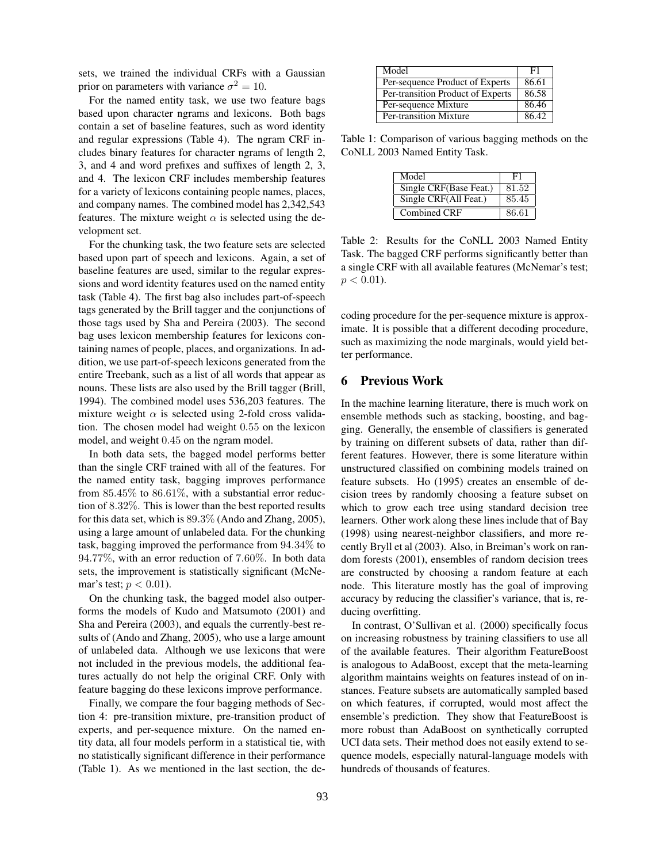sets, we trained the individual CRFs with a Gaussian prior on parameters with variance  $\sigma^2 = 10$ .

For the named entity task, we use two feature bags based upon character ngrams and lexicons. Both bags contain a set of baseline features, such as word identity and regular expressions (Table 4). The ngram CRF includes binary features for character ngrams of length 2, 3, and 4 and word prefixes and suffixes of length 2, 3, and 4. The lexicon CRF includes membership features for a variety of lexicons containing people names, places, and company names. The combined model has 2,342,543 features. The mixture weight  $\alpha$  is selected using the development set.

For the chunking task, the two feature sets are selected based upon part of speech and lexicons. Again, a set of baseline features are used, similar to the regular expressions and word identity features used on the named entity task (Table 4). The first bag also includes part-of-speech tags generated by the Brill tagger and the conjunctions of those tags used by Sha and Pereira (2003). The second bag uses lexicon membership features for lexicons containing names of people, places, and organizations. In addition, we use part-of-speech lexicons generated from the entire Treebank, such as a list of all words that appear as nouns. These lists are also used by the Brill tagger (Brill, 1994). The combined model uses 536,203 features. The mixture weight  $\alpha$  is selected using 2-fold cross validation. The chosen model had weight 0.55 on the lexicon model, and weight 0.45 on the ngram model.

In both data sets, the bagged model performs better than the single CRF trained with all of the features. For the named entity task, bagging improves performance from  $85.45\%$  to  $86.61\%$ , with a substantial error reduction of 8.32%. This is lower than the best reported results for this data set, which is 89.3% (Ando and Zhang, 2005), using a large amount of unlabeled data. For the chunking task, bagging improved the performance from 94.34% to 94.77%, with an error reduction of 7.60%. In both data sets, the improvement is statistically significant (McNemar's test;  $p < 0.01$ ).

On the chunking task, the bagged model also outperforms the models of Kudo and Matsumoto (2001) and Sha and Pereira (2003), and equals the currently-best results of (Ando and Zhang, 2005), who use a large amount of unlabeled data. Although we use lexicons that were not included in the previous models, the additional features actually do not help the original CRF. Only with feature bagging do these lexicons improve performance.

Finally, we compare the four bagging methods of Section 4: pre-transition mixture, pre-transition product of experts, and per-sequence mixture. On the named entity data, all four models perform in a statistical tie, with no statistically significant difference in their performance (Table 1). As we mentioned in the last section, the de-

| Model                             | F1    |
|-----------------------------------|-------|
| Per-sequence Product of Experts   | 86.61 |
| Per-transition Product of Experts | 86.58 |
| Per-sequence Mixture              | 86.46 |
| Per-transition Mixture            | 86.42 |

Table 1: Comparison of various bagging methods on the CoNLL 2003 Named Entity Task.

| Model                  | F1    |
|------------------------|-------|
| Single CRF(Base Feat.) | 81.52 |
| Single CRF(All Feat.)  | 85.45 |
| Combined CRF           | 86.61 |

Table 2: Results for the CoNLL 2003 Named Entity Task. The bagged CRF performs significantly better than a single CRF with all available features (McNemar's test;  $p < 0.01$ ).

coding procedure for the per-sequence mixture is approximate. It is possible that a different decoding procedure, such as maximizing the node marginals, would yield better performance.

#### 6 Previous Work

In the machine learning literature, there is much work on ensemble methods such as stacking, boosting, and bagging. Generally, the ensemble of classifiers is generated by training on different subsets of data, rather than different features. However, there is some literature within unstructured classified on combining models trained on feature subsets. Ho (1995) creates an ensemble of decision trees by randomly choosing a feature subset on which to grow each tree using standard decision tree learners. Other work along these lines include that of Bay (1998) using nearest-neighbor classifiers, and more recently Bryll et al (2003). Also, in Breiman's work on random forests (2001), ensembles of random decision trees are constructed by choosing a random feature at each node. This literature mostly has the goal of improving accuracy by reducing the classifier's variance, that is, reducing overfitting.

In contrast, O'Sullivan et al. (2000) specifically focus on increasing robustness by training classifiers to use all of the available features. Their algorithm FeatureBoost is analogous to AdaBoost, except that the meta-learning algorithm maintains weights on features instead of on instances. Feature subsets are automatically sampled based on which features, if corrupted, would most affect the ensemble's prediction. They show that FeatureBoost is more robust than AdaBoost on synthetically corrupted UCI data sets. Their method does not easily extend to sequence models, especially natural-language models with hundreds of thousands of features.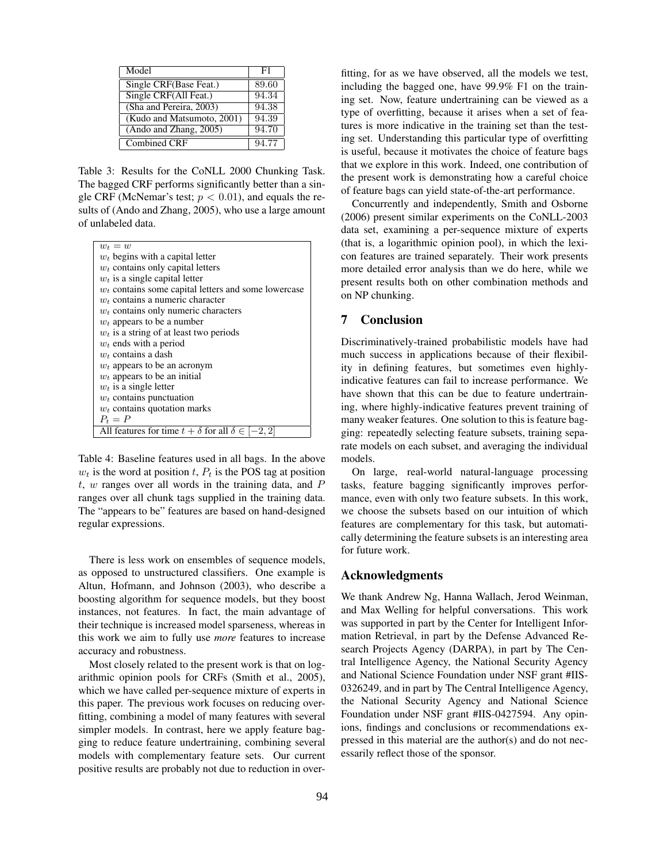| Model                      | F1    |
|----------------------------|-------|
| Single CRF(Base Feat.)     | 89.60 |
| Single CRF(All Feat.)      | 94.34 |
| (Sha and Pereira, 2003)    | 94.38 |
| (Kudo and Matsumoto, 2001) | 94.39 |
| (Ando and Zhang, 2005)     | 94.70 |
| Combined CRF               | 94.77 |

Table 3: Results for the CoNLL 2000 Chunking Task. The bagged CRF performs significantly better than a single CRF (McNemar's test;  $p < 0.01$ ), and equals the results of (Ando and Zhang, 2005), who use a large amount of unlabeled data.

| $w_t = w$                                                       |
|-----------------------------------------------------------------|
| $w_t$ begins with a capital letter                              |
| $w_t$ contains only capital letters                             |
| $w_t$ is a single capital letter                                |
| $w_t$ contains some capital letters and some lowercase          |
| $w_t$ contains a numeric character                              |
| $w_t$ contains only numeric characters                          |
| $w_t$ appears to be a number                                    |
| $w_t$ is a string of at least two periods                       |
| $w_t$ ends with a period                                        |
| $w_t$ contains a dash                                           |
| $w_t$ appears to be an acronym                                  |
| $w_t$ appears to be an initial                                  |
| $w_t$ is a single letter                                        |
| $w_t$ contains punctuation                                      |
| $w_t$ contains quotation marks                                  |
| $P_t = P$                                                       |
| All features for time $t + \delta$ for all $\delta \in [-2, 2]$ |
|                                                                 |

Table 4: Baseline features used in all bags. In the above  $w_t$  is the word at position t,  $P_t$  is the POS tag at position  $t$ ,  $w$  ranges over all words in the training data, and  $P$ ranges over all chunk tags supplied in the training data. The "appears to be" features are based on hand-designed regular expressions.

There is less work on ensembles of sequence models, as opposed to unstructured classifiers. One example is Altun, Hofmann, and Johnson (2003), who describe a boosting algorithm for sequence models, but they boost instances, not features. In fact, the main advantage of their technique is increased model sparseness, whereas in this work we aim to fully use *more* features to increase accuracy and robustness.

Most closely related to the present work is that on logarithmic opinion pools for CRFs (Smith et al., 2005), which we have called per-sequence mixture of experts in this paper. The previous work focuses on reducing overfitting, combining a model of many features with several simpler models. In contrast, here we apply feature bagging to reduce feature undertraining, combining several models with complementary feature sets. Our current positive results are probably not due to reduction in overfitting, for as we have observed, all the models we test, including the bagged one, have 99.9% F1 on the training set. Now, feature undertraining can be viewed as a type of overfitting, because it arises when a set of features is more indicative in the training set than the testing set. Understanding this particular type of overfitting is useful, because it motivates the choice of feature bags that we explore in this work. Indeed, one contribution of the present work is demonstrating how a careful choice of feature bags can yield state-of-the-art performance.

Concurrently and independently, Smith and Osborne (2006) present similar experiments on the CoNLL-2003 data set, examining a per-sequence mixture of experts (that is, a logarithmic opinion pool), in which the lexicon features are trained separately. Their work presents more detailed error analysis than we do here, while we present results both on other combination methods and on NP chunking.

#### 7 Conclusion

Discriminatively-trained probabilistic models have had much success in applications because of their flexibility in defining features, but sometimes even highlyindicative features can fail to increase performance. We have shown that this can be due to feature undertraining, where highly-indicative features prevent training of many weaker features. One solution to this is feature bagging: repeatedly selecting feature subsets, training separate models on each subset, and averaging the individual models.

On large, real-world natural-language processing tasks, feature bagging significantly improves performance, even with only two feature subsets. In this work, we choose the subsets based on our intuition of which features are complementary for this task, but automatically determining the feature subsets is an interesting area for future work.

#### Acknowledgments

We thank Andrew Ng, Hanna Wallach, Jerod Weinman, and Max Welling for helpful conversations. This work was supported in part by the Center for Intelligent Information Retrieval, in part by the Defense Advanced Research Projects Agency (DARPA), in part by The Central Intelligence Agency, the National Security Agency and National Science Foundation under NSF grant #IIS-0326249, and in part by The Central Intelligence Agency, the National Security Agency and National Science Foundation under NSF grant #IIS-0427594. Any opinions, findings and conclusions or recommendations expressed in this material are the author(s) and do not necessarily reflect those of the sponsor.